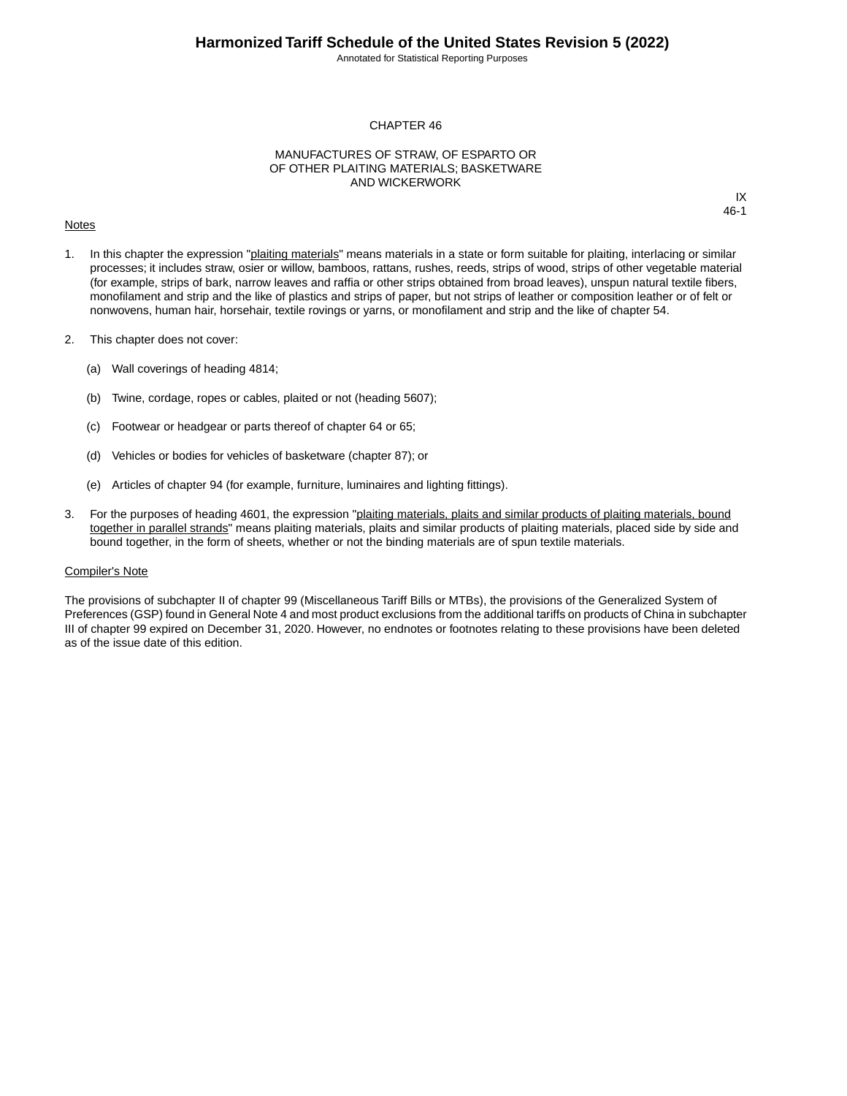Annotated for Statistical Reporting Purposes

IX 46-1

#### CHAPTER 46

### MANUFACTURES OF STRAW, OF ESPARTO OR OF OTHER PLAITING MATERIALS; BASKETWARE AND WICKERWORK

#### **Notes**

1. In this chapter the expression "plaiting materials" means materials in a state or form suitable for plaiting, interlacing or similar processes; it includes straw, osier or willow, bamboos, rattans, rushes, reeds, strips of wood, strips of other vegetable material (for example, strips of bark, narrow leaves and raffia or other strips obtained from broad leaves), unspun natural textile fibers, monofilament and strip and the like of plastics and strips of paper, but not strips of leather or composition leather or of felt or nonwovens, human hair, horsehair, textile rovings or yarns, or monofilament and strip and the like of chapter 54.

- 2. This chapter does not cover:
	- (a) Wall coverings of heading 4814;
	- (b) Twine, cordage, ropes or cables, plaited or not (heading 5607);
	- (c) Footwear or headgear or parts thereof of chapter 64 or 65;
	- (d) Vehicles or bodies for vehicles of basketware (chapter 87); or
	- (e) Articles of chapter 94 (for example, furniture, luminaires and lighting fittings).
- 3. For the purposes of heading 4601, the expression "plaiting materials, plaits and similar products of plaiting materials, bound together in parallel strands" means plaiting materials, plaits and similar products of plaiting materials, placed side by side and bound together, in the form of sheets, whether or not the binding materials are of spun textile materials.

#### Compiler's Note

The provisions of subchapter II of chapter 99 (Miscellaneous Tariff Bills or MTBs), the provisions of the Generalized System of Preferences (GSP) found in General Note 4 and most product exclusions from the additional tariffs on products of China in subchapter III of chapter 99 expired on December 31, 2020. However, no endnotes or footnotes relating to these provisions have been deleted as of the issue date of this edition.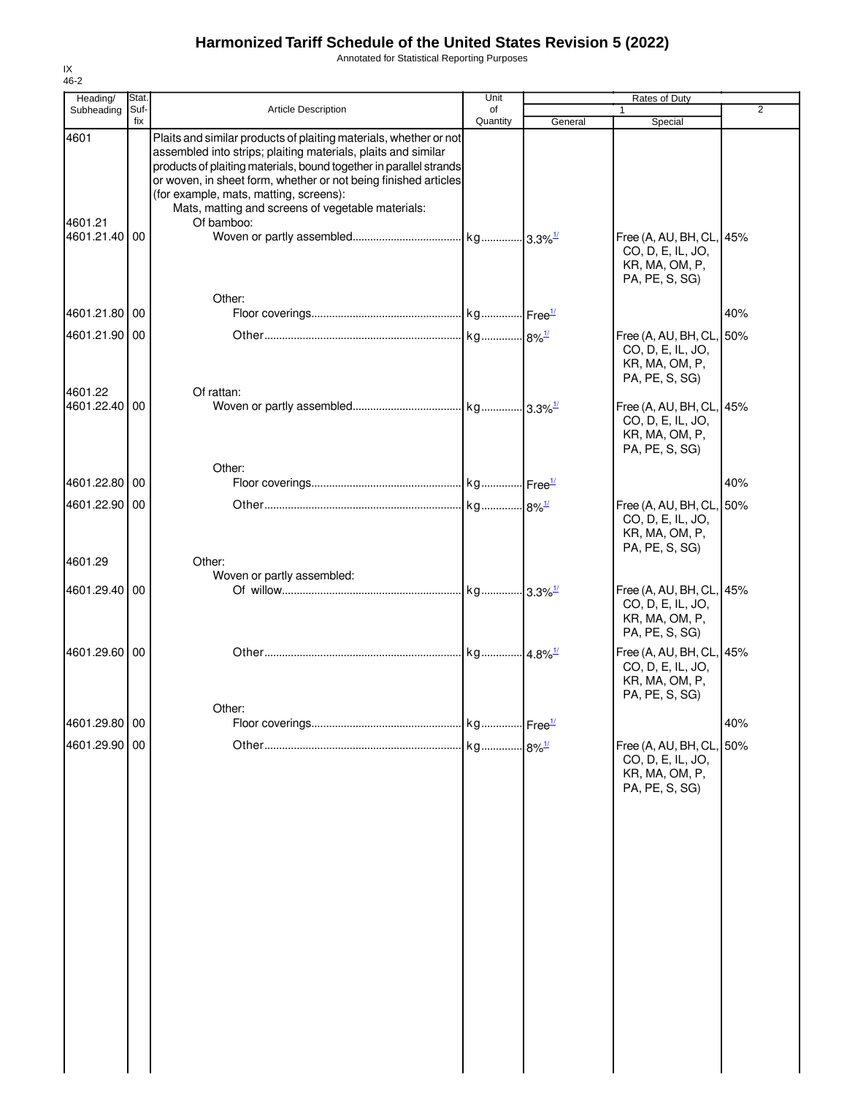Annotated for Statistical Reporting Purposes

| Heading/<br>Subheading   | Stat.<br>Suf- | Article Description                                                                                                                                                                                                                                                                                                                                                        | Unit<br>of            |         | Rates of Duty<br>1                                                                | $\overline{2}$ |
|--------------------------|---------------|----------------------------------------------------------------------------------------------------------------------------------------------------------------------------------------------------------------------------------------------------------------------------------------------------------------------------------------------------------------------------|-----------------------|---------|-----------------------------------------------------------------------------------|----------------|
|                          | fix           |                                                                                                                                                                                                                                                                                                                                                                            | Quantity              | General | Special                                                                           |                |
| 4601                     |               | Plaits and similar products of plaiting materials, whether or not<br>assembled into strips; plaiting materials, plaits and similar<br>products of plaiting materials, bound together in parallel strands<br>or woven, in sheet form, whether or not being finished articles<br>(for example, mats, matting, screens):<br>Mats, matting and screens of vegetable materials: |                       |         |                                                                                   |                |
| 4601.21<br>4601.21.40 00 |               | Of bamboo:                                                                                                                                                                                                                                                                                                                                                                 |                       |         | Free (A, AU, BH, CL, 45%<br>CO, D, E, IL, JO,<br>KR, MA, OM, P,<br>PA, PE, S, SG) |                |
| 4601.21.80               | 00            | Other:                                                                                                                                                                                                                                                                                                                                                                     |                       |         |                                                                                   | 40%            |
| 4601.21.90               | 00            |                                                                                                                                                                                                                                                                                                                                                                            |                       |         | Free (A, AU, BH, CL, 50%                                                          |                |
| 4601.22                  |               | Of rattan:                                                                                                                                                                                                                                                                                                                                                                 |                       |         | CO, D, E, IL, JO,<br>KR, MA, OM, P,<br>PA, PE, S, SG)                             |                |
| 4601.22.40 00            |               |                                                                                                                                                                                                                                                                                                                                                                            |                       |         | Free (A, AU, BH, CL, 45%<br>CO, D, E, IL, JO,<br>KR, MA, OM, P,<br>PA, PE, S, SG) |                |
|                          |               | Other:                                                                                                                                                                                                                                                                                                                                                                     |                       |         |                                                                                   |                |
| 4601.22.80               | 00            |                                                                                                                                                                                                                                                                                                                                                                            |                       |         |                                                                                   | 40%            |
| 4601.22.90 00<br>4601.29 |               | Other:                                                                                                                                                                                                                                                                                                                                                                     |                       |         | Free (A, AU, BH, CL, 50%<br>CO, D, E, IL, JO,<br>KR, MA, OM, P,<br>PA, PE, S, SG) |                |
|                          |               | Woven or partly assembled:                                                                                                                                                                                                                                                                                                                                                 |                       |         |                                                                                   |                |
| 4601.29.40 00            |               |                                                                                                                                                                                                                                                                                                                                                                            |                       |         | Free (A, AU, BH, CL, 45%<br>CO, D, E, IL, JO,<br>KR, MA, OM, P,<br>PA, PE, S, SG) |                |
| 4601.29.60 00            |               |                                                                                                                                                                                                                                                                                                                                                                            | kg 4.8% <sup>1/</sup> |         | Free (A, AU, BH, CL, 45%<br>CO, D, E, IL, JO,<br>KR, MA, OM, P,<br>PA, PE, S, SG) |                |
| 4601.29.80               | 00            | Other:                                                                                                                                                                                                                                                                                                                                                                     |                       |         |                                                                                   | 40%            |
| 4601.29.90 00            |               |                                                                                                                                                                                                                                                                                                                                                                            |                       |         | Free (A, AU, BH, CL, 50%<br>CO, D, E, IL, JO,<br>KR, MA, OM, P,<br>PA, PE, S, SG) |                |
|                          |               |                                                                                                                                                                                                                                                                                                                                                                            |                       |         |                                                                                   |                |
|                          |               |                                                                                                                                                                                                                                                                                                                                                                            |                       |         |                                                                                   |                |
|                          |               |                                                                                                                                                                                                                                                                                                                                                                            |                       |         |                                                                                   |                |
|                          |               |                                                                                                                                                                                                                                                                                                                                                                            |                       |         |                                                                                   |                |
|                          |               |                                                                                                                                                                                                                                                                                                                                                                            |                       |         |                                                                                   |                |

IX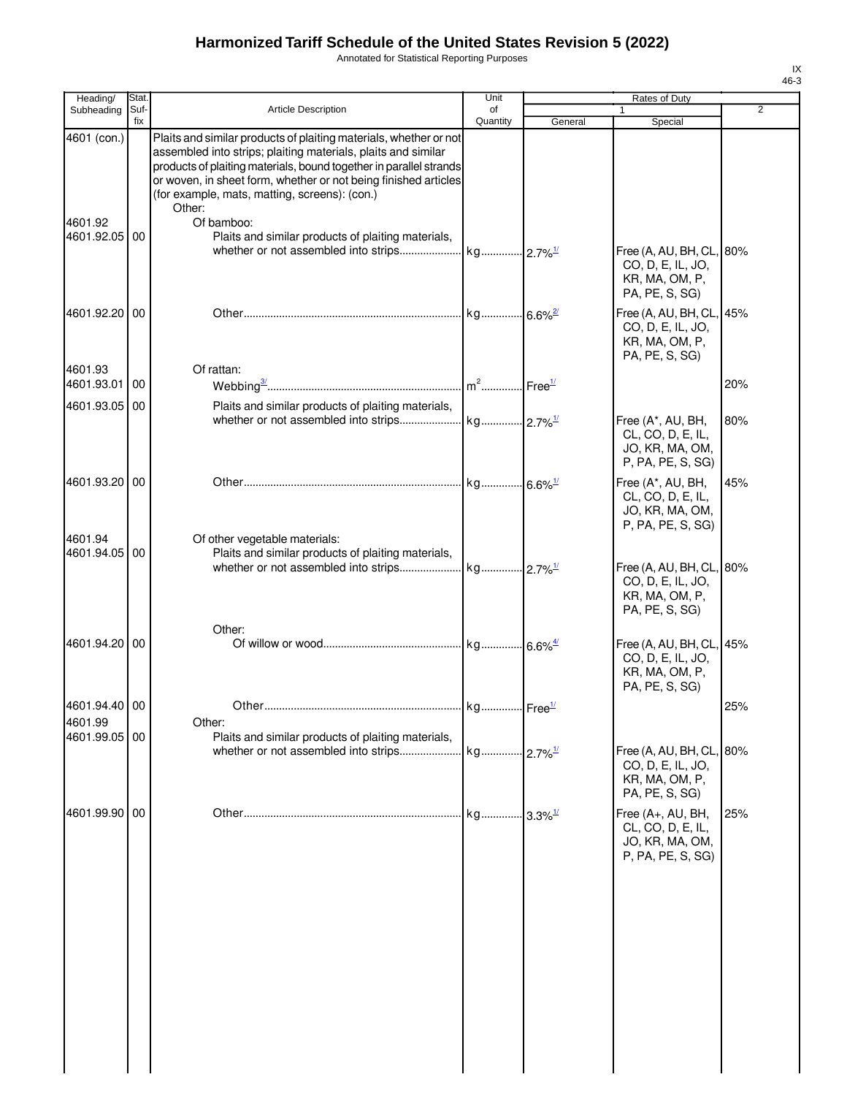Annotated for Statistical Reporting Purposes

| ×<br>I | ۰, |
|--------|----|

| Heading/                 | Stat.       |                                                                                                                                                                                                                                                                                                                                        | Unit           |         | Rates of Duty                                                                     |       |
|--------------------------|-------------|----------------------------------------------------------------------------------------------------------------------------------------------------------------------------------------------------------------------------------------------------------------------------------------------------------------------------------------|----------------|---------|-----------------------------------------------------------------------------------|-------|
| Subheading               | Suf-<br>fix | <b>Article Description</b>                                                                                                                                                                                                                                                                                                             | of<br>Quantity | General | 1<br>Special                                                                      | 2     |
| 4601 (con.)              |             | Plaits and similar products of plaiting materials, whether or not<br>assembled into strips; plaiting materials, plaits and similar<br>products of plaiting materials, bound together in parallel strands<br>or woven, in sheet form, whether or not being finished articles<br>(for example, mats, matting, screens): (con.)<br>Other: |                |         |                                                                                   |       |
| 4601.92<br>4601.92.05 00 |             | Of bamboo:<br>Plaits and similar products of plaiting materials,                                                                                                                                                                                                                                                                       |                |         | Free (A, AU, BH, CL,<br>CO, D, E, IL, JO,                                         | .180% |
|                          |             |                                                                                                                                                                                                                                                                                                                                        |                |         | KR, MA, OM, P,<br>PA, PE, S, SG)                                                  |       |
| 4601.92.20 00            |             |                                                                                                                                                                                                                                                                                                                                        |                |         | Free (A, AU, BH, CL,<br>CO, D, E, IL, JO,<br>KR, MA, OM, P,<br>PA, PE, S, SG)     | 45%   |
| 4601.93<br>4601.93.01    | 00          | Of rattan:                                                                                                                                                                                                                                                                                                                             |                |         |                                                                                   | 20%   |
| 4601.93.05 00            |             | Plaits and similar products of plaiting materials,                                                                                                                                                                                                                                                                                     |                |         |                                                                                   |       |
|                          |             |                                                                                                                                                                                                                                                                                                                                        |                |         | Free (A*, AU, BH,<br>CL, CO, D, E, IL,<br>JO, KR, MA, OM,<br>P, PA, PE, S, SG)    | 80%   |
| 4601.93.20 00            |             |                                                                                                                                                                                                                                                                                                                                        |                |         | Free (A*, AU, BH,<br>CL, CO, D, E, IL,<br>JO, KR, MA, OM,<br>P, PA, PE, S, SG)    | 45%   |
| 4601.94<br>4601.94.05 00 |             | Of other vegetable materials:<br>Plaits and similar products of plaiting materials,                                                                                                                                                                                                                                                    |                |         | Free (A, AU, BH, CL, 80%<br>CO, D, E, IL, JO,<br>KR, MA, OM, P,<br>PA, PE, S, SG) |       |
| 4601.94.20 00            |             | Other:                                                                                                                                                                                                                                                                                                                                 |                |         | Free (A, AU, BH, CL, 45%<br>CO, D, E, IL, JO,<br>KR, MA, OM, P,<br>PA, PE, S, SG) |       |
| 4601.94.40 00            |             |                                                                                                                                                                                                                                                                                                                                        |                |         |                                                                                   | 25%   |
| 4601.99                  |             | Other:                                                                                                                                                                                                                                                                                                                                 |                |         |                                                                                   |       |
| 4601.99.05 00            |             | Plaits and similar products of plaiting materials,                                                                                                                                                                                                                                                                                     |                |         | Free (A, AU, BH, CL, 80%<br>CO, D, E, IL, JO,<br>KR, MA, OM, P,<br>PA, PE, S, SG) |       |
| 4601.99.90 00            |             |                                                                                                                                                                                                                                                                                                                                        |                |         | Free (A+, AU, BH,<br>CL, CO, D, E, IL,<br>JO, KR, MA, OM,<br>P, PA, PE, S, SG)    | 25%   |
|                          |             |                                                                                                                                                                                                                                                                                                                                        |                |         |                                                                                   |       |
|                          |             |                                                                                                                                                                                                                                                                                                                                        |                |         |                                                                                   |       |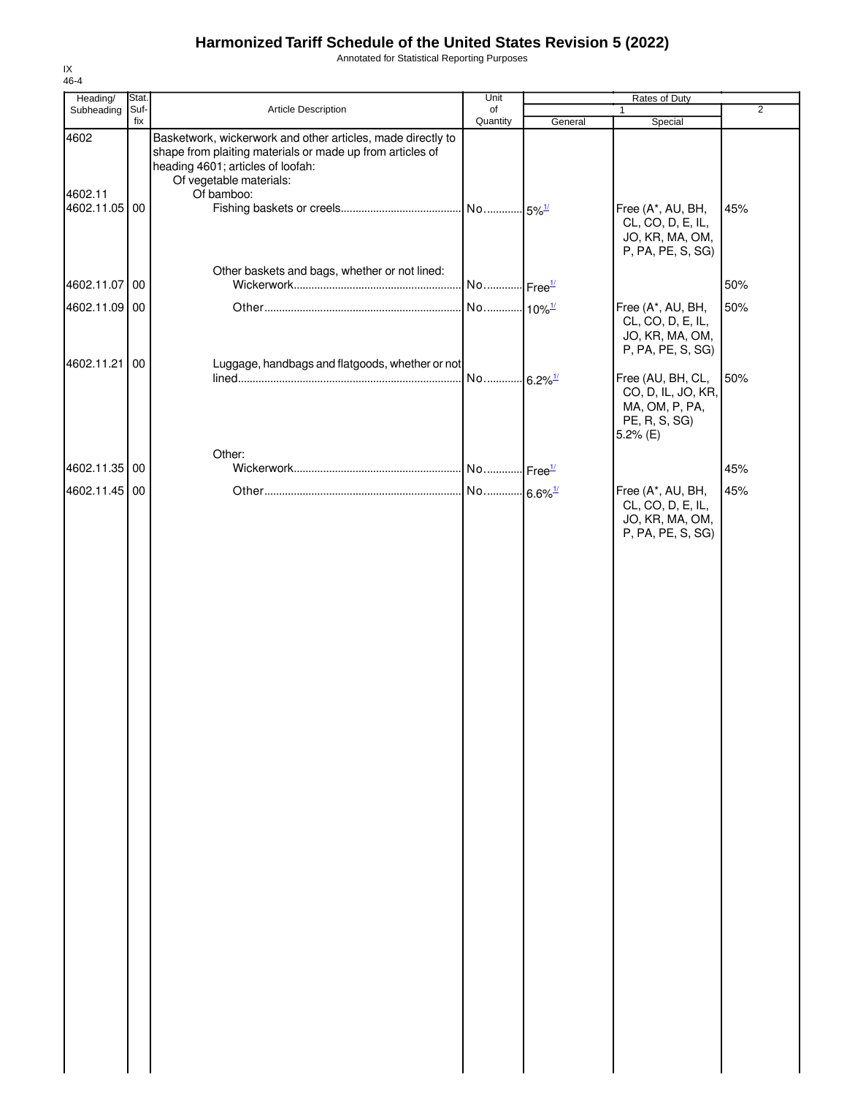Annotated for Statistical Reporting Purposes

| Heading/                 | Stat. |                                                                                                                                                               | Unit                  |         | Rates of Duty                                                                                   |                |
|--------------------------|-------|---------------------------------------------------------------------------------------------------------------------------------------------------------------|-----------------------|---------|-------------------------------------------------------------------------------------------------|----------------|
| Subheading               | Suf-  | Article Description                                                                                                                                           | of                    |         | $\mathbf{1}$                                                                                    | $\overline{2}$ |
| 4602                     | fix   | Basketwork, wickerwork and other articles, made directly to<br>shape from plaiting materials or made up from articles of<br>heading 4601; articles of loofah: | Quantity              | General | Special                                                                                         |                |
| 4602.11<br>4602.11.05 00 |       | Of vegetable materials:<br>Of bamboo:                                                                                                                         |                       |         | Free (A*, AU, BH,<br>CL, CO, D, E, IL,<br>JO, KR, MA, OM,<br>P, PA, PE, S, SG)                  | 45%            |
| 4602.11.07               | 00    | Other baskets and bags, whether or not lined:                                                                                                                 | No Free <sup>1/</sup> |         |                                                                                                 | 50%            |
| 4602.11.09 00            |       |                                                                                                                                                               | No 10% <sup>1/</sup>  |         | Free (A*, AU, BH,<br>CL, CO, D, E, IL,<br>JO, KR, MA, OM,                                       | 50%            |
| 4602.11.21               | 00    | Luggage, handbags and flatgoods, whether or not                                                                                                               | No 6.2% <sup>1/</sup> |         | P, PA, PE, S, SG)<br>Free (AU, BH, CL,<br>CO, D, IL, JO, KR,<br>MA, OM, P, PA,<br>PE, R, S, SG) | 50%            |
| 4602.11.35 00            |       | Other:                                                                                                                                                        |                       |         | $5.2%$ (E)                                                                                      | 45%            |
| 4602.11.45 00            |       |                                                                                                                                                               | No 6.6% <sup>1/</sup> |         | Free (A*, AU, BH,<br>CL, CO, D, E, IL,<br>JO, KR, MA, OM,<br>P, PA, PE, S, SG)                  | 45%            |
|                          |       |                                                                                                                                                               |                       |         |                                                                                                 |                |
|                          |       |                                                                                                                                                               |                       |         |                                                                                                 |                |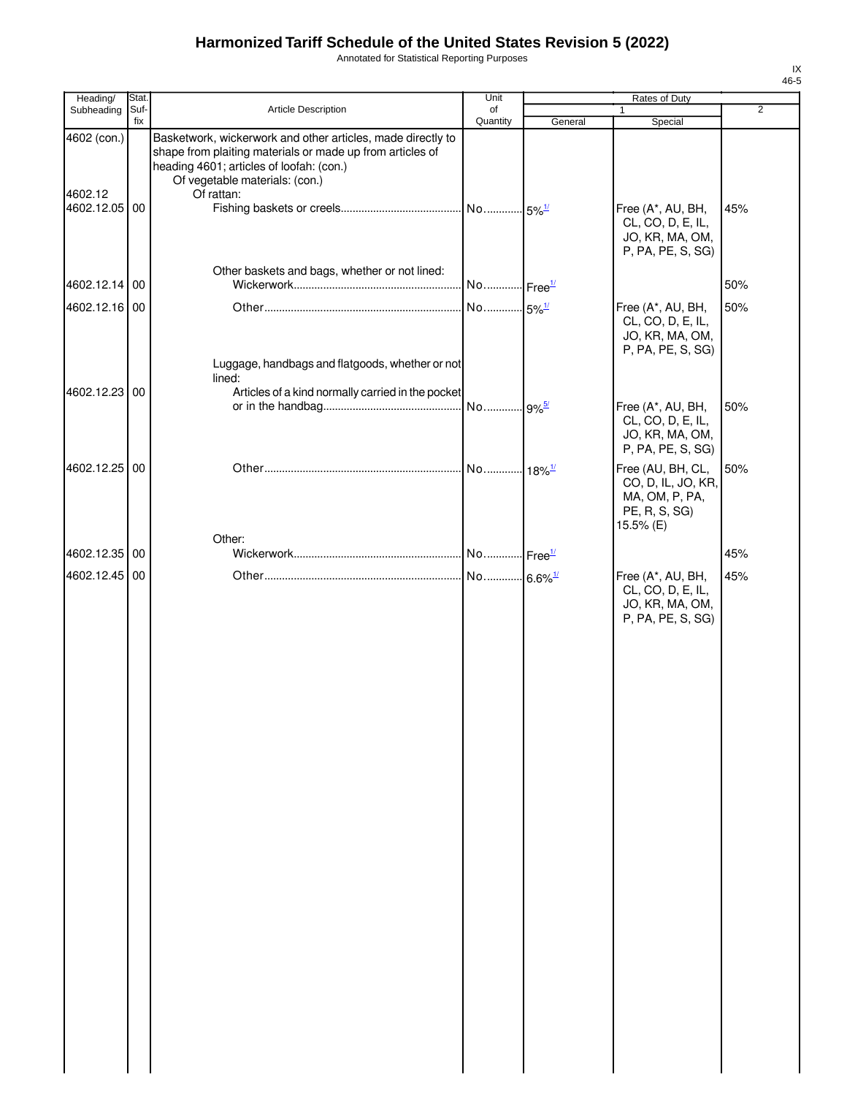Annotated for Statistical Reporting Purposes

| Heading/                                | Stat.       |                                                                                                                                                                                                                      | Unit                             |         | Rates of Duty                                                                           |                |
|-----------------------------------------|-------------|----------------------------------------------------------------------------------------------------------------------------------------------------------------------------------------------------------------------|----------------------------------|---------|-----------------------------------------------------------------------------------------|----------------|
| Subheading                              | Suf-<br>fix | Article Description                                                                                                                                                                                                  | of<br>Quantity                   | General | Special                                                                                 | $\overline{2}$ |
| 4602 (con.)<br>4602.12<br>4602.12.05 00 |             | Basketwork, wickerwork and other articles, made directly to<br>shape from plaiting materials or made up from articles of<br>heading 4601; articles of loofah: (con.)<br>Of vegetable materials: (con.)<br>Of rattan: | No 5% <sup>1/</sup>              |         | Free (A*, AU, BH,<br>CL, CO, D, E, IL,                                                  | 45%            |
|                                         |             | Other baskets and bags, whether or not lined:                                                                                                                                                                        |                                  |         | JO, KR, MA, OM,<br>P, PA, PE, S, SG)                                                    |                |
| 4602.12.14 00                           |             |                                                                                                                                                                                                                      |                                  |         |                                                                                         | 50%            |
| 4602.12.16 00                           |             |                                                                                                                                                                                                                      | No 5% <sup>1/</sup>              |         | Free (A*, AU, BH,<br>CL, CO, D, E, IL,<br>JO, KR, MA, OM,<br>P, PA, PE, S, SG)          | 50%            |
|                                         |             | Luggage, handbags and flatgoods, whether or not                                                                                                                                                                      |                                  |         |                                                                                         |                |
| 4602.12.23 00                           |             | lined:<br>Articles of a kind normally carried in the pocket                                                                                                                                                          |                                  |         |                                                                                         |                |
|                                         |             |                                                                                                                                                                                                                      |                                  |         | Free (A*, AU, BH,<br>CL, CO, D, E, IL,<br>JO, KR, MA, OM,                               | 50%            |
|                                         |             |                                                                                                                                                                                                                      |                                  |         | P, PA, PE, S, SG)                                                                       |                |
| 4602.12.25 00                           |             |                                                                                                                                                                                                                      | No  <sub>18%</sub> <sup>1/</sup> |         | Free (AU, BH, CL,<br>CO, D, IL, JO, KR,<br>MA, OM, P, PA,<br>PE, R, S, SG)<br>15.5% (E) | 50%            |
|                                         |             | Other:                                                                                                                                                                                                               |                                  |         |                                                                                         |                |
| 4602.12.35 00                           |             |                                                                                                                                                                                                                      |                                  |         |                                                                                         | 45%            |
| 4602.12.45 00                           |             |                                                                                                                                                                                                                      | No 6.6% <sup>1/</sup>            |         | Free (A*, AU, BH,<br>CL, CO, D, E, IL,<br>JO, KR, MA, OM,<br>P, PA, PE, S, SG)          | 45%            |
|                                         |             |                                                                                                                                                                                                                      |                                  |         |                                                                                         |                |
|                                         |             |                                                                                                                                                                                                                      |                                  |         |                                                                                         |                |
|                                         |             |                                                                                                                                                                                                                      |                                  |         |                                                                                         |                |
|                                         |             |                                                                                                                                                                                                                      |                                  |         |                                                                                         |                |
|                                         |             |                                                                                                                                                                                                                      |                                  |         |                                                                                         |                |
|                                         |             |                                                                                                                                                                                                                      |                                  |         |                                                                                         |                |
|                                         |             |                                                                                                                                                                                                                      |                                  |         |                                                                                         |                |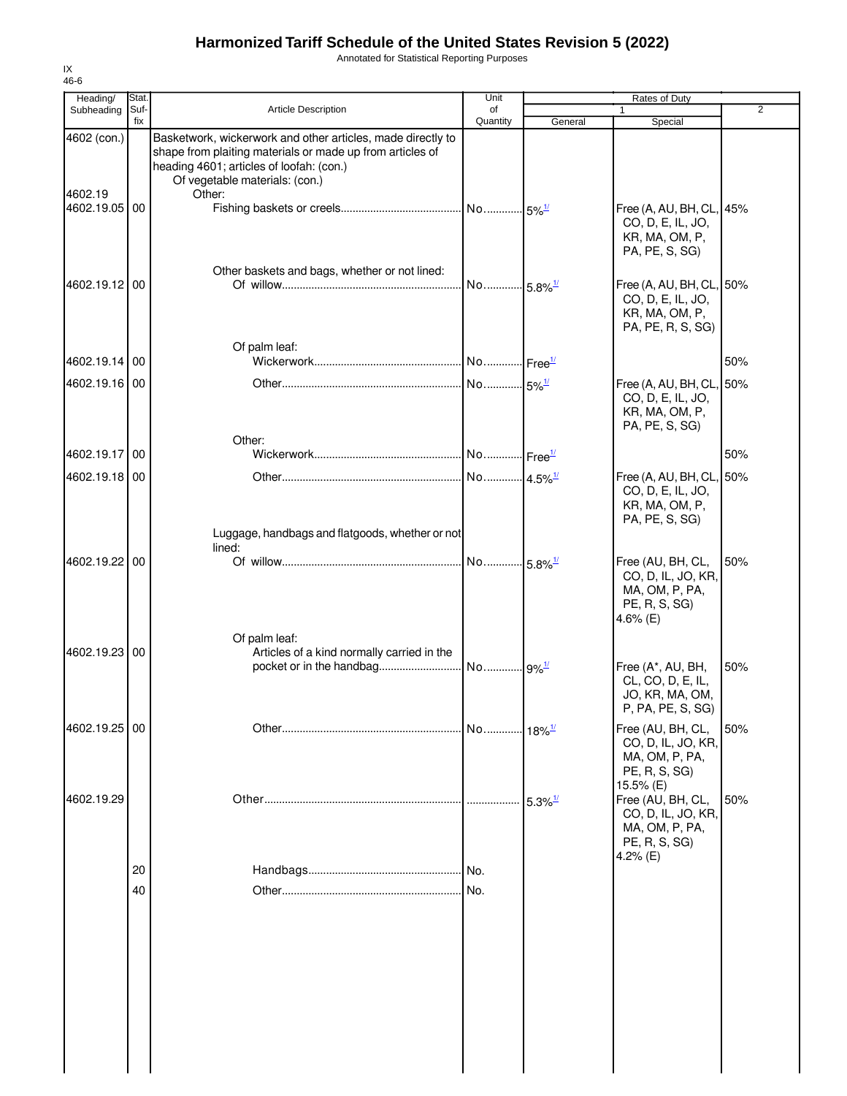Annotated for Statistical Reporting Purposes

| Heading/               | Stat.       |                                                                                                                                                                                                                  | Unit           |                       | Rates of Duty                                                                            |                |
|------------------------|-------------|------------------------------------------------------------------------------------------------------------------------------------------------------------------------------------------------------------------|----------------|-----------------------|------------------------------------------------------------------------------------------|----------------|
| Subheading             | Suf-<br>fix | <b>Article Description</b>                                                                                                                                                                                       | of<br>Quantity | General               | 1<br>Special                                                                             | $\overline{2}$ |
| 4602 (con.)<br>4602.19 |             | Basketwork, wickerwork and other articles, made directly to<br>shape from plaiting materials or made up from articles of<br>heading 4601; articles of loofah: (con.)<br>Of vegetable materials: (con.)<br>Other: |                |                       |                                                                                          |                |
| 4602.19.05 00          |             |                                                                                                                                                                                                                  |                |                       | Free (A, AU, BH, CL,<br>CO, D, E, IL, JO,<br>KR, MA, OM, P,<br>PA, PE, S, SG)            | 45%            |
| 4602.19.12 00          |             | Other baskets and bags, whether or not lined:                                                                                                                                                                    |                |                       | Free (A, AU, BH, CL, 50%<br>CO, D, E, IL, JO,<br>KR, MA, OM, P,<br>PA, PE, R, S, SG)     |                |
| 4602.19.14 00          |             | Of palm leaf:                                                                                                                                                                                                    |                |                       |                                                                                          | 50%            |
| 4602.19.16 00          |             | Other:                                                                                                                                                                                                           |                |                       | Free (A, AU, BH, CL,<br>CO, D, E, IL, JO,<br>KR, MA, OM, P,<br>PA, PE, S, SG)            | 50%            |
| 4602.19.17 00          |             |                                                                                                                                                                                                                  |                |                       |                                                                                          | 50%            |
| 4602.19.18 00          |             |                                                                                                                                                                                                                  |                |                       | Free (A, AU, BH, CL, 50%<br>CO, D, E, IL, JO,<br>KR, MA, OM, P,<br>PA, PE, S, SG)        |                |
| 4602.19.22 00          |             | Luggage, handbags and flatgoods, whether or not<br>lined:                                                                                                                                                        |                |                       | Free (AU, BH, CL,<br>CO, D, IL, JO, KR,<br>MA, OM, P, PA,<br>PE, R, S, SG)<br>4.6% (E)   | 50%            |
| 4602.19.23 00          |             | Of palm leaf:<br>Articles of a kind normally carried in the                                                                                                                                                      |                |                       | Free (A*, AU, BH,<br>CL, CO, D, E, IL,<br>JO, KR, MA, OM,<br>P, PA, PE, S, SG)           | 50%            |
| 4602.19.25 00          |             |                                                                                                                                                                                                                  |                |                       | Free (AU, BH, CL,<br>CO, D, IL, JO, KR,<br>MA, OM, P, PA,<br>PE, R, S, SG)<br>15.5% (E)  | 50%            |
| 4602.19.29             |             |                                                                                                                                                                                                                  |                | $5.3\%$ <sup>1/</sup> | Free (AU, BH, CL,<br>CO, D, IL, JO, KR,<br>MA, OM, P, PA,<br>PE, R, S, SG)<br>4.2% $(E)$ | 50%            |
|                        | 20          |                                                                                                                                                                                                                  |                |                       |                                                                                          |                |
|                        | 40          |                                                                                                                                                                                                                  | No.            |                       |                                                                                          |                |
|                        |             |                                                                                                                                                                                                                  |                |                       |                                                                                          |                |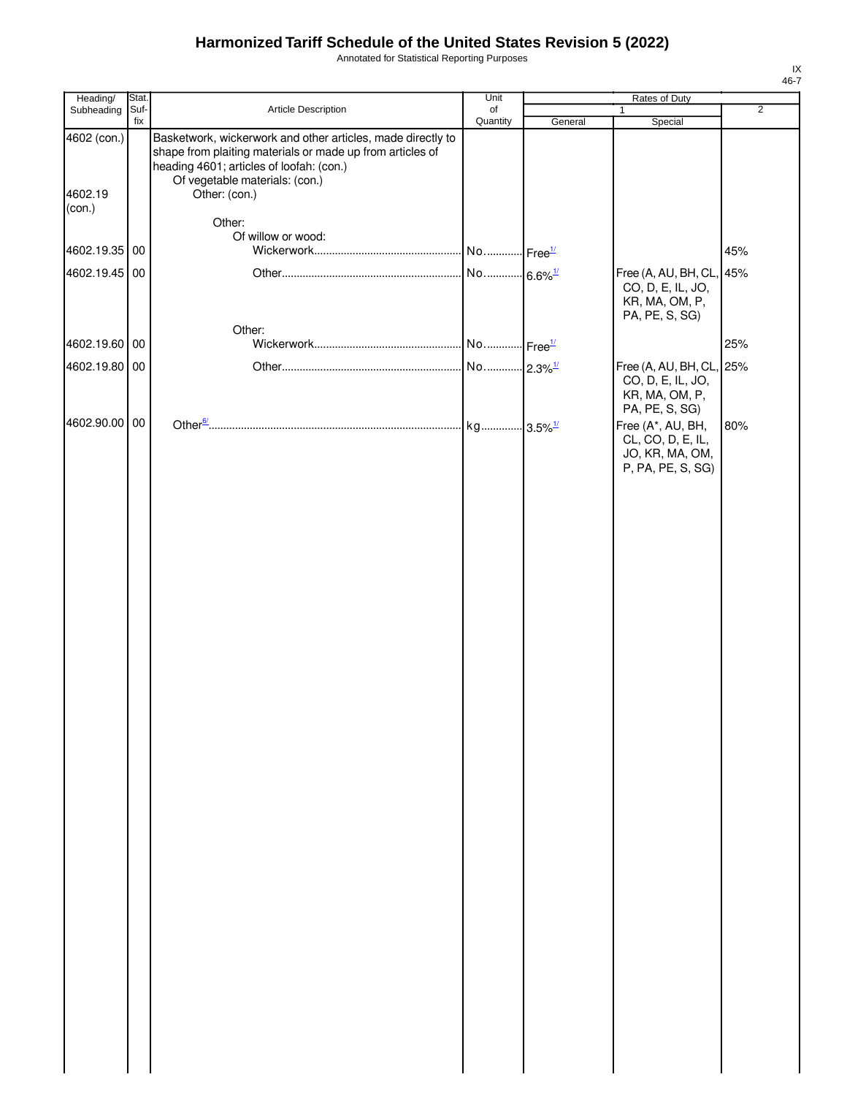Annotated for Statistical Reporting Purposes

| Heading/               | Stat.       |                                                                                                                                                                                                                         | Unit           |         | Rates of Duty                                                                  |                |
|------------------------|-------------|-------------------------------------------------------------------------------------------------------------------------------------------------------------------------------------------------------------------------|----------------|---------|--------------------------------------------------------------------------------|----------------|
| Subheading             | Suf-<br>fix | Article Description                                                                                                                                                                                                     | of<br>Quantity | General | 1                                                                              | $\overline{2}$ |
| 4602 (con.)<br>4602.19 |             | Basketwork, wickerwork and other articles, made directly to<br>shape from plaiting materials or made up from articles of<br>heading 4601; articles of loofah: (con.)<br>Of vegetable materials: (con.)<br>Other: (con.) |                |         | Special                                                                        |                |
| (con.)                 |             |                                                                                                                                                                                                                         |                |         |                                                                                |                |
|                        |             | Other:<br>Of willow or wood:                                                                                                                                                                                            |                |         |                                                                                |                |
| 4602.19.35 00          |             |                                                                                                                                                                                                                         |                |         |                                                                                | 45%            |
| 4602.19.45 00          |             |                                                                                                                                                                                                                         |                |         | Free (A, AU, BH, CL, 45%<br>CO, D, E, IL, JO,<br>KR, MA, OM, P,                |                |
|                        |             | Other:                                                                                                                                                                                                                  |                |         | PA, PE, S, SG)                                                                 |                |
| 4602.19.60 00          |             |                                                                                                                                                                                                                         |                |         |                                                                                | 25%            |
| 4602.19.80 00          |             |                                                                                                                                                                                                                         |                |         | Free (A, AU, BH, CL, 25%                                                       |                |
|                        |             |                                                                                                                                                                                                                         |                |         | CO, D, E, IL, JO,<br>KR, MA, OM, P,<br>PA, PE, S, SG)                          |                |
| 4602.90.00 00          |             |                                                                                                                                                                                                                         |                |         | Free (A*, AU, BH,<br>CL, CO, D, E, IL,<br>JO, KR, MA, OM,<br>P, PA, PE, S, SG) | 80%            |
|                        |             |                                                                                                                                                                                                                         |                |         |                                                                                |                |
|                        |             |                                                                                                                                                                                                                         |                |         |                                                                                |                |
|                        |             |                                                                                                                                                                                                                         |                |         |                                                                                |                |
|                        |             |                                                                                                                                                                                                                         |                |         |                                                                                |                |
|                        |             |                                                                                                                                                                                                                         |                |         |                                                                                |                |
|                        |             |                                                                                                                                                                                                                         |                |         |                                                                                |                |
|                        |             |                                                                                                                                                                                                                         |                |         |                                                                                |                |
|                        |             |                                                                                                                                                                                                                         |                |         |                                                                                |                |
|                        |             |                                                                                                                                                                                                                         |                |         |                                                                                |                |
|                        |             |                                                                                                                                                                                                                         |                |         |                                                                                |                |
|                        |             |                                                                                                                                                                                                                         |                |         |                                                                                |                |
|                        |             |                                                                                                                                                                                                                         |                |         |                                                                                |                |